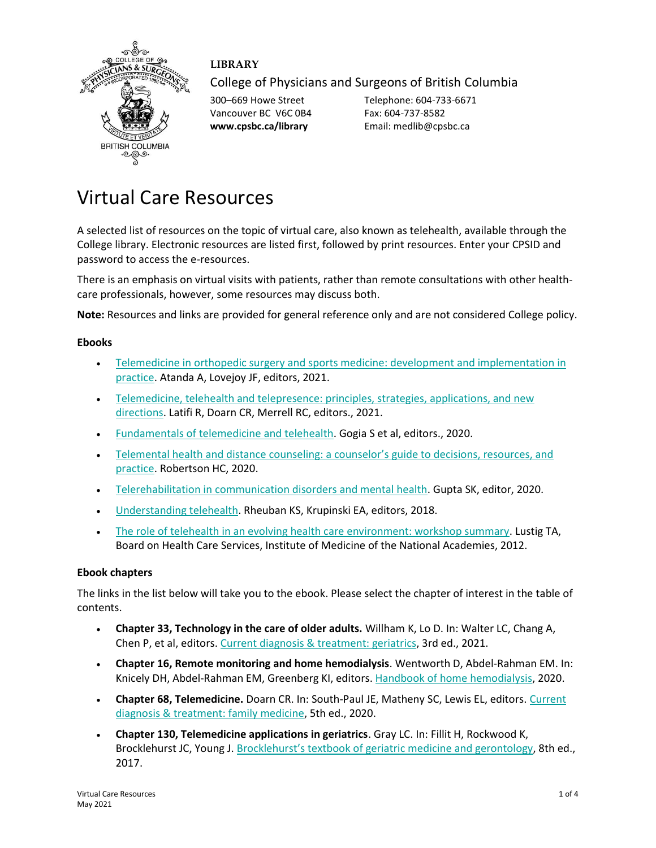

## **LIBRARY**

College of Physicians and Surgeons of British Columbia

Vancouver BC V6C 0B4 Fax: 604-737-8582

300–669 Howe Street Telephone: 604-733-6671 **www.cpsbc.ca/library** Email: medlib@cpsbc.ca

# Virtual Care Resources

A selected list of resources on the topic of virtual care, also known as telehealth, available through the College library. Electronic resources are listed first, followed by print resources. Enter your CPSID and password to access the e-resources.

There is an emphasis on virtual visits with patients, rather than remote consultations with other healthcare professionals, however, some resources may discuss both.

**Note:** Resources and links are provided for general reference only and are not considered College policy.

#### **Ebooks**

- [Telemedicine in orthopedic surgery and sports medicine: development and implementation in](https://tinyurl.com/fhbhrtb8)  [practice.](https://tinyurl.com/fhbhrtb8) Atanda A, Lovejoy JF, editors, 2021.
- Telemedicine, telehealth and telepresence: principles, strategies, applications, and new [directions.](https://tinyurl.com/56c5m94d) Latifi R, Doarn CR, Merrell RC, editors., 2021.
- [Fundamentals of telemedicine and telehealth.](https://www.cpsbc.ca/proxyauth/?url=https%3A%2F%2Febookcentral.proquest.com%2Flib%2Fcpsbcca%2Fdetail.action%3FdocID%3D5969543) Gogia S et al, editors., 2020.
- [Telemental health and distance counseling: a counselor](https://tinyurl.com/85w6vj9f)'s guide to decisions, resources, and [practice.](https://tinyurl.com/85w6vj9f) Robertson HC, 2020.
- [Telerehabilitation in communication disorders and mental health.](https://www.cpsbc.ca/proxyauth/?url=https%3A%2F%2Febookcentral.proquest.com%2Flib%2Fcpsbcca%2Fdetail.action%3FdocID%3D6190958) Gupta SK, editor, 2020.
- [Understanding telehealth.](https://www.cpsbc.ca/proxyauth/?url=https%3A%2F%2Faccessmedicine.mhmedical.com%2Fbook.aspx%3Fbookid%3D2217) Rheuban KS, Krupinski EA, editors, 2018.
- [The role of telehealth in an evolving health care environment: workshop summary.](https://www.ncbi.nlm.nih.gov/books/NBK207145/) Lustig TA, Board on Health Care Services, Institute of Medicine of the National Academies, 2012.

#### **Ebook chapters**

The links in the list below will take you to the ebook. Please select the chapter of interest in the table of contents.

- **Chapter 33, Technology in the care of older adults.** Willham K, Lo D. In: Walter LC, Chang A, Chen P, et al, editors[. Current diagnosis & treatment: geriatrics,](https://www.cpsbc.ca/proxyauth/?url=https%3A%2F%2Faccessmedicine.mhmedical.com%2Fbook.aspx%3Fbookid%3D2984) 3rd ed., 2021.
- **Chapter 16, Remote monitoring and home hemodialysis**. Wentworth D, Abdel-Rahman EM. In: Knicely DH, Abdel-Rahman EM, Greenberg KI, editors[. Handbook of home hemodialysis,](https://www.cpsbc.ca/proxyauth/?url=https%3A%2F%2Faccessmedicine.mhmedical.com%2Fbook.aspx%3Fbookid%3D3019) 2020.
- **Chapter 68, Telemedicine.** Doarn CR. In: South-Paul JE, Matheny SC, Lewis EL, editors. [Current](https://www.cpsbc.ca/proxyauth/?url=https%3A%2F%2Faccessmedicine.mhmedical.com%2Fbook.aspx%3Fbookid%3D2934)  [diagnosis & treatment: family medicine,](https://www.cpsbc.ca/proxyauth/?url=https%3A%2F%2Faccessmedicine.mhmedical.com%2Fbook.aspx%3Fbookid%3D2934) 5th ed., 2020.
- **Chapter 130, Telemedicine applications in geriatrics**. Gray LC. In: Fillit H, Rockwood K, Brocklehurst JC, Young J. Brocklehurst'[s textbook of geriatric medicine and gerontology,](https://www.cpsbc.ca/proxyauth/?url=https%3A%2F%2Fwww.clinicalkey.com%2Fdura%2Fbrowse%2FbookChapter%2F3-s2.0-C20120076016) 8th ed., 2017.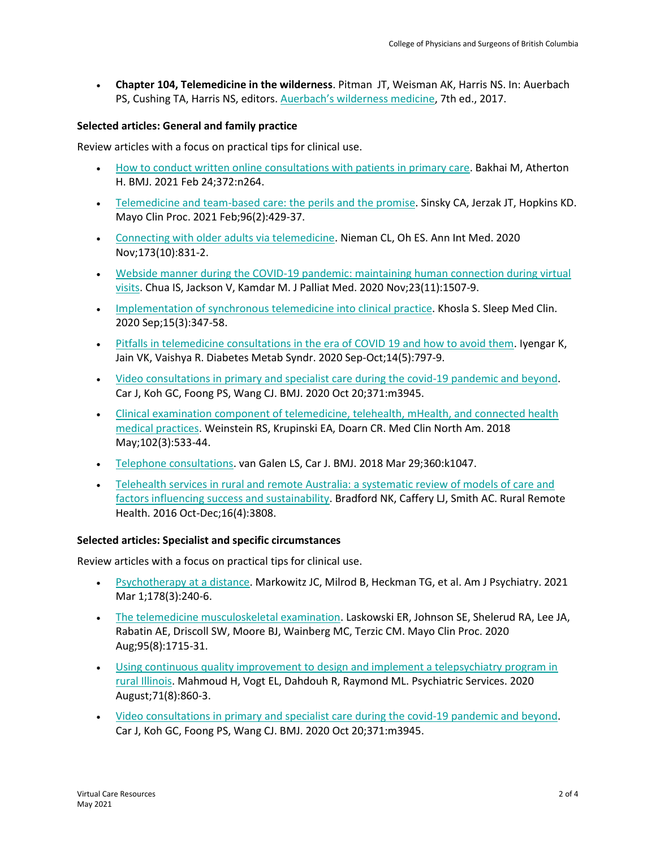• **Chapter 104, Telemedicine in the wilderness**. Pitman JT, Weisman AK, Harris NS. In: Auerbach PS, Cushing TA, Harris NS, editors. Auerbach'[s wilderness medicine,](https://www.cpsbc.ca/proxyauth/?url=https%3A%2F%2Fwww.clinicalkey.com%2Fdura%2Fbrowse%2FbookChapter%2F3-s2.0-C20130134915) 7th ed., 2017.

## **Selected articles: General and family practice**

Review articles with a focus on practical tips for clinical use.

- How to conduct [written online consultations with patients in primary care.](https://www.cpsbc.ca/proxyauth/?url=https%3A%2F%2Fwww.bmj.com%2Fcontent%2F372%2Fbmj.n264.full.pdf) Bakhai M, Atherton H. BMJ. 2021 Feb 24;372:n264.
- [Telemedicine and team-based care: the perils and the promise.](https://www.ncbi.nlm.nih.gov/pmc/articles/PMC7857703/pdf/main.pdf) Sinsky CA, Jerzak JT, Hopkins KD. Mayo Clin Proc. 2021 Feb;96(2):429-37.
- [Connecting with older adults via telemedicine.](https://tinyurl.com/5meyv2zh) Nieman CL, Oh ES. Ann Int Med. 2020 Nov;173(10):831-2.
- [Webside manner during the COVID-19 pandemic: maintaining human connection during virtual](https://www.cpsbc.ca/proxyauth/?url=https%3A%2F%2Fwww.liebertpub.com%2Fdoi%2Fpdf%2F10.1089%2Fjpm.2020.0298)  [visits.](https://www.cpsbc.ca/proxyauth/?url=https%3A%2F%2Fwww.liebertpub.com%2Fdoi%2Fpdf%2F10.1089%2Fjpm.2020.0298) Chua IS, Jackson V, Kamdar M. J Palliat Med. 2020 Nov;23(11):1507-9.
- [Implementation of synchronous telemedicine into clinical practice.](https://www.ncbi.nlm.nih.gov/pmc/articles/PMC7398868/pdf/main.pdf) Khosla S. Sleep Med Clin. 2020 Sep;15(3):347-58.
- [Pitfalls in telemedicine consultations in the era of COVID 19 and how to avoid them.](https://www.ncbi.nlm.nih.gov/pmc/articles/PMC7280804/pdf/main.pdf) Iyengar K, Jain VK, Vaishya R. Diabetes Metab Syndr. 2020 Sep-Oct;14(5):797-9.
- [Video consultations in primary and specialist care during the covid-19 pandemic and beyond.](https://www.cpsbc.ca/proxyauth/?url=https%3A%2F%2Fwww.bmj.com%2Fcontent%2F371%2Fbmj.m3945.full.pdf) Car J, Koh GC, Foong PS, Wang CJ. BMJ. 2020 Oct 20;371:m3945.
- [Clinical examination component of telemedicine, telehealth, mHealth, and connected health](https://www.cpsbc.ca/proxyauth/?url=https%3A%2F%2Fwww.clinicalkey.com%2Fplaycontent%2F1-s2.0-S0025712518300026)  [medical practices.](https://www.cpsbc.ca/proxyauth/?url=https%3A%2F%2Fwww.clinicalkey.com%2Fplaycontent%2F1-s2.0-S0025712518300026) Weinstein RS, Krupinski EA, Doarn CR. Med Clin North Am. 2018 May;102(3):533-44.
- [Telephone consultations.](https://www.cpsbc.ca/proxyauth/?url=https%3A%2F%2Fwww.bmj.com%2Fcontent%2F360%2Fbmj.k1047.full.pdf) van Galen LS, Car J. BMJ. 2018 Mar 29;360:k1047.
- [Telehealth services in rural and remote Australia: a systematic review of models of care and](https://www.rrh.org.au/journal/article/3808)  [factors influencing success and sustainability.](https://www.rrh.org.au/journal/article/3808) Bradford NK, Caffery LJ, Smith AC. Rural Remote Health. 2016 Oct-Dec;16(4):3808.

## **Selected articles: Specialist and specific circumstances**

Review articles with a focus on practical tips for clinical use.

- [Psychotherapy at a distance.](https://www.cpsbc.ca/proxyauth/?url=https%3A%2F%2Fajp.psychiatryonline.org%2Fdoi%2Fpdf%2F10.1176%2Fappi.ajp.2020.20050557) Markowitz JC, Milrod B, Heckman TG, et al. Am J Psychiatry. 2021 Mar 1;178(3):240-6.
- [The telemedicine musculoskeletal examination.](https://www.ncbi.nlm.nih.gov/pmc/articles/PMC7395661/pdf/main.pdf) Laskowski ER, Johnson SE, Shelerud RA, Lee JA, Rabatin AE, Driscoll SW, Moore BJ, Wainberg MC, Terzic CM. Mayo Clin Proc. 2020 Aug;95(8):1715-31.
- [Using continuous quality improvement to design and implement a telepsychiatry program in](https://www.cpsbc.ca/proxyauth/?url=https%3A%2F%2Fps.psychiatryonline.org%2Fdoi%2Fpdf%2F10.1176%2Fappi.ps.201900231)  [rural Illinois.](https://www.cpsbc.ca/proxyauth/?url=https%3A%2F%2Fps.psychiatryonline.org%2Fdoi%2Fpdf%2F10.1176%2Fappi.ps.201900231) Mahmoud H, Vogt EL, Dahdouh R, Raymond ML. Psychiatric Services. 2020 August;71(8):860-3.
- [Video consultations in primary and specialist care during the covid-19 pandemic and beyond.](https://www.cpsbc.ca/proxyauth/?url=https%3A%2F%2Fwww.bmj.com%2Fcontent%2F371%2Fbmj.m3945.full.pdf) Car J, Koh GC, Foong PS, Wang CJ. BMJ. 2020 Oct 20;371:m3945.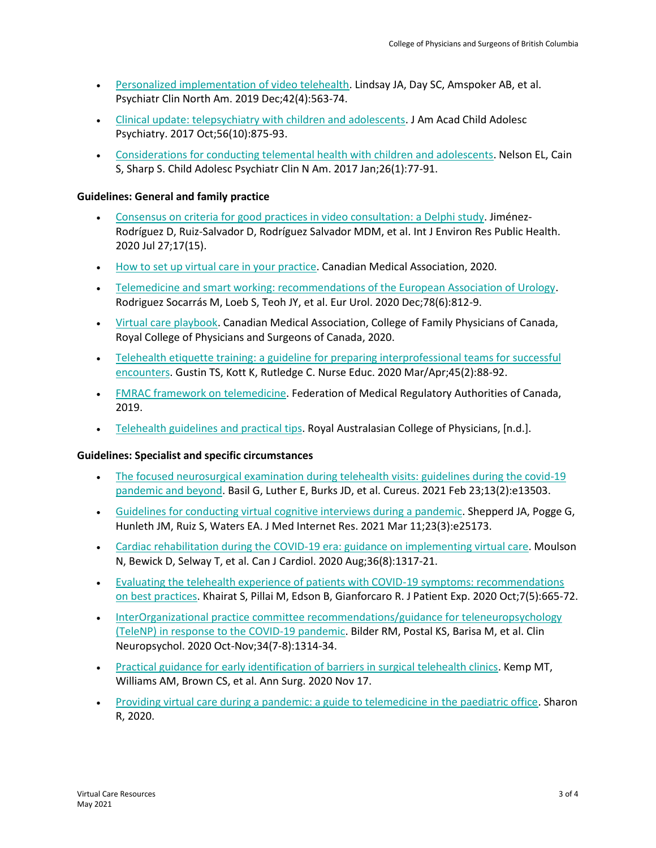- [Personalized implementation of video telehealth.](https://www.cpsbc.ca/proxyauth/?url=https%3A%2F%2Fwww.clinicalkey.com%2Fplaycontent%2F1-s2.0-S0193953X19300711) Lindsay JA, Day SC, Amspoker AB, et al. Psychiatr Clin North Am. 2019 Dec;42(4):563-74.
- [Clinical update: telepsychiatry with children and adolescents.](https://www.cpsbc.ca/proxyauth/?url=https%3A%2F%2Fwww.clinicalkey.com%2Fplaycontent%2F1-s2.0-S0890856717303337) J Am Acad Child Adolesc Psychiatry. 2017 Oct;56(10):875-93.
- [Considerations for conducting telemental health with children and adolescents.](https://www.cpsbc.ca/proxyauth/?url=https%3A%2F%2Fwww.clinicalkey.com%2Fplaycontent%2F1-s2.0-S1056499316300797) Nelson EL, Cain S, Sharp S. Child Adolesc Psychiatr Clin N Am. 2017 Jan;26(1):77-91.

#### **Guidelines: General and family practice**

- [Consensus on criteria for good practices in video consultation: a](https://www.ncbi.nlm.nih.gov/pmc/articles/PMC7432677/pdf/ijerph-17-05396.pdf) Delphi study. Jiménez-Rodríguez D, Ruiz-Salvador D, Rodríguez Salvador MDM, et al. Int J Environ Res Public Health. 2020 Jul 27;17(15).
- [How to set up virtual care in your practice.](https://www.cma.ca/how-set-virtual-care-your-practice) Canadian Medical Association, 2020.
- [Telemedicine and smart working: recommendations of the European Association of Urology.](https://www.ncbi.nlm.nih.gov/pmc/articles/PMC7347487/pdf/main.pdf) Rodriguez Socarrás M, Loeb S, Teoh JY, et al. Eur Urol. 2020 Dec;78(6):812-9.
- [Virtual care playbook.](https://www.royalcollege.ca/rcsite/documents/about/virtual-care-playbook-e.pdf) Canadian Medical Association, College of Family Physicians of Canada, Royal College of Physicians and Surgeons of Canada, 2020.
- Telehealth etiquette training: a [guideline for preparing interprofessional teams for successful](https://tinyurl.com/4s4z5pkr)  [encounters.](https://tinyurl.com/4s4z5pkr) Gustin TS, Kott K, Rutledge C. Nurse Educ. 2020 Mar/Apr;45(2):88-92.
- [FMRAC framework on telemedicine.](https://fmrac.ca/fmrac-framework-on-telemedicine/) Federation of Medical Regulatory Authorities of Canada, 2019.
- [Telehealth guidelines and practical tips.](https://www.racp.edu.au/docs/default-source/advocacy-library/telehealth-guidelines-and-practical-tips.pdf) Royal Australasian College of Physicians, [n.d.].

#### **Guidelines: Specialist and specific circumstances**

- The focused neurosurgical examination during telehealth visits: guidelines during the covid-19 [pandemic and beyond.](https://www.ncbi.nlm.nih.gov/pmc/articles/PMC7992292/pdf/cureus-0013-00000013503.pdf) Basil G, Luther E, Burks JD, et al. Cureus. 2021 Feb 23;13(2):e13503.
- [Guidelines for conducting virtual cognitive interviews during a pandemic.](https://www.ncbi.nlm.nih.gov/pmc/articles/PMC7954109/) Shepperd JA, Pogge G, Hunleth JM, Ruiz S, Waters EA. J Med Internet Res. 2021 Mar 11;23(3):e25173.
- [Cardiac rehabilitation during the COVID-19 era: guidance on implementing virtual care.](https://www.ncbi.nlm.nih.gov/pmc/articles/PMC7293761/pdf/main.pdf) Moulson N, Bewick D, Selway T, et al. Can J Cardiol. 2020 Aug;36(8):1317-21.
- [Evaluating the telehealth experience of patients with COVID-19 symptoms: recommendations](https://www.ncbi.nlm.nih.gov/pmc/articles/PMC7705823/pdf/10.1177_2374373520952975.pdf)  [on best practices.](https://www.ncbi.nlm.nih.gov/pmc/articles/PMC7705823/pdf/10.1177_2374373520952975.pdf) Khairat S, Pillai M, Edson B, Gianforcaro R. J Patient Exp. 2020 Oct;7(5):665-72.
- InterOrganizational practice committee recommendations/guidance for teleneuropsychology [\(TeleNP\) in response to the](https://www.ncbi.nlm.nih.gov/pmc/articles/PMC7767580/pdf/nihms-1654610.pdf) COVID-19 pandemic. Bilder RM, Postal KS, Barisa M, et al. Clin Neuropsychol. 2020 Oct-Nov;34(7-8):1314-34.
- [Practical guidance for early identification of barriers in surgical telehealth clinics.](https://tinyurl.com/rnjp9jw6) Kemp MT, Williams AM, Brown CS, et al. Ann Surg. 2020 Nov 17.
- [Providing virtual care during a pandemic: a guide to telemedicine in the paediatric office.](https://www.cps.ca/en/blog-blogue/virtual-care-during-a-pandemic) Sharon R, 2020.